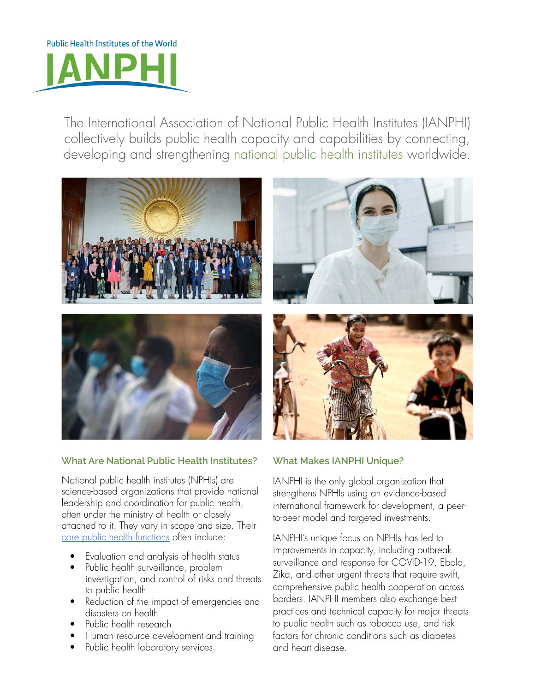

The International Association of National Public Health Institutes (IANPHI) collectively builds public health capacity and capabilities by connecting, developing and strengthening national public health institutes worldwide.



## **What Are National Public Health Institutes?**

National public health institutes (NPHIs) are science-based organizations that provide national leadership and coordination for public health, often under the ministry of health or closely attached to it. They vary in scope and size. Their [core public health functions](https://ianphi.org/_includes/documents/sections/tools-resources/nphi-core-functions-and-attributes.pdf) often include:

- Evaluation and analysis of health status
- Public health surveillance, problem investigation, and control of risks and threats to public health
- Reduction of the impact of emergencies and disasters on health
- Public health research
- Human resource development and training
- Public health laboratory services

## **What Makes IANPHI Unique?**

IANPHI is the only global organization that strengthens NPHIs using an evidence-based international framework for development, a peerto-peer model and targeted investments.

IANPHI's unique focus on NPHIs has led to improvements in capacity, including outbreak surveillance and response for COVID-19, Ebola, Zika, and other urgent threats that require swift, comprehensive public health cooperation across borders. IANPHI members also exchange best practices and technical capacity for major threats to public health such as tobacco use, and risk factors for chronic conditions such as diabetes and heart disease.